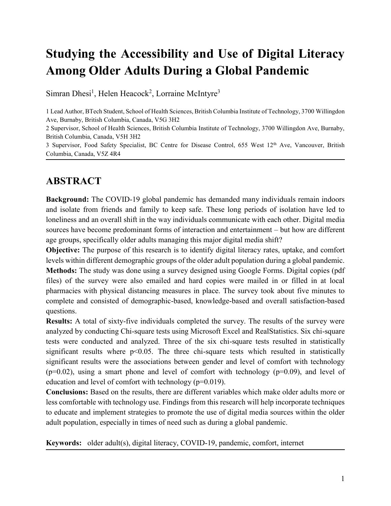# **Studying the Accessibility and Use of Digital Literacy Among Older Adults During a Global Pandemic**

Simran Dhesi<sup>1</sup>, Helen Heacock<sup>2</sup>, Lorraine McIntyre<sup>3</sup>

1 Lead Author, BTech Student, School of Health Sciences, British Columbia Institute of Technology, 3700 Willingdon Ave, Burnaby, British Columbia, Canada, V5G 3H2

2 Supervisor, School of Health Sciences, British Columbia Institute of Technology, 3700 Willingdon Ave, Burnaby, British Columbia, Canada, V5H 3H2

3 Supervisor, Food Safety Specialist, BC Centre for Disease Control, 655 West 12th Ave, Vancouver, British Columbia, Canada, V5Z 4R4

### **ABSTRACT**

**Background:** The COVID-19 global pandemic has demanded many individuals remain indoors and isolate from friends and family to keep safe. These long periods of isolation have led to loneliness and an overall shift in the way individuals communicate with each other. Digital media sources have become predominant forms of interaction and entertainment – but how are different age groups, specifically older adults managing this major digital media shift?

**Objective:** The purpose of this research is to identify digital literacy rates, uptake, and comfort levels within different demographic groups of the older adult population during a global pandemic. **Methods:** The study was done using a survey designed using Google Forms. Digital copies (pdf files) of the survey were also emailed and hard copies were mailed in or filled in at local pharmacies with physical distancing measures in place. The survey took about five minutes to complete and consisted of demographic-based, knowledge-based and overall satisfaction-based questions.

**Results:** A total of sixty-five individuals completed the survey. The results of the survey were analyzed by conducting Chi-square tests using Microsoft Excel and RealStatistics. Six chi-square tests were conducted and analyzed. Three of the six chi-square tests resulted in statistically significant results where  $p<0.05$ . The three chi-square tests which resulted in statistically significant results were the associations between gender and level of comfort with technology  $(p=0.02)$ , using a smart phone and level of comfort with technology  $(p=0.09)$ , and level of education and level of comfort with technology (p=0.019).

**Conclusions:** Based on the results, there are different variables which make older adults more or less comfortable with technology use. Findings from this research will help incorporate techniques to educate and implement strategies to promote the use of digital media sources within the older adult population, especially in times of need such as during a global pandemic.

**Keywords:** older adult(s), digital literacy, COVID-19, pandemic, comfort, internet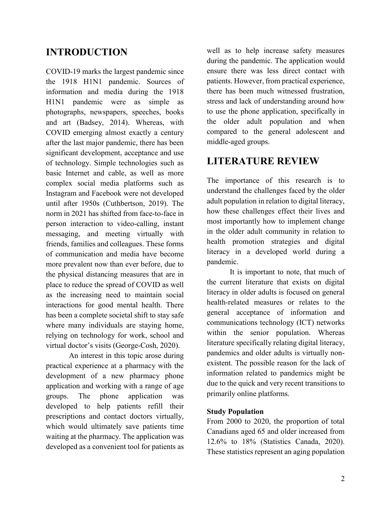## **INTRODUCTION**

COVID-19 marks the largest pandemic since the 1918 H1N1 pandemic. Sources of information and media during the 1918 H1N1 pandemic were as simple as photographs, newspapers, speeches, books and art (Badsey, 2014). Whereas, with COVID emerging almost exactly a century after the last major pandemic, there has been significant development, acceptance and use of technology. Simple technologies such as basic Internet and cable, as well as more complex social media platforms such as Instagram and Facebook were not developed until after 1950s (Cuthbertson, 2019). The norm in 2021 has shifted from face-to-face in person interaction to video-calling, instant messaging, and meeting virtually with friends, families and colleagues. These forms of communication and media have become more prevalent now than ever before, due to the physical distancing measures that are in place to reduce the spread of COVID as well as the increasing need to maintain social interactions for good mental health. There has been a complete societal shift to stay safe where many individuals are staying home, relying on technology for work, school and virtual doctor's visits (George-Cosh, 2020).

An interest in this topic arose during practical experience at a pharmacy with the development of a new pharmacy phone application and working with a range of age groups. The phone application was developed to help patients refill their prescriptions and contact doctors virtually, which would ultimately save patients time waiting at the pharmacy. The application was developed as a convenient tool for patients as

well as to help increase safety measures during the pandemic. The application would ensure there was less direct contact with patients. However, from practical experience, there has been much witnessed frustration, stress and lack of understanding around how to use the phone application, specifically in the older adult population and when compared to the general adolescent and middle-aged groups.

## **LITERATURE REVIEW**

The importance of this research is to understand the challenges faced by the older adult population in relation to digital literacy, how these challenges effect their lives and most importantly how to implement change in the older adult community in relation to health promotion strategies and digital literacy in a developed world during a pandemic.

It is important to note, that much of the current literature that exists on digital literacy in older adults is focused on general health-related measures or relates to the general acceptance of information and communications technology (ICT) networks within the senior population. Whereas literature specifically relating digital literacy, pandemics and older adults is virtually nonexistent. The possible reason for the lack of information related to pandemics might be due to the quick and very recent transitions to primarily online platforms.

### **Study Population**

From 2000 to 2020, the proportion of total Canadians aged 65 and older increased from 12.6% to 18% (Statistics Canada, 2020). These statistics represent an aging population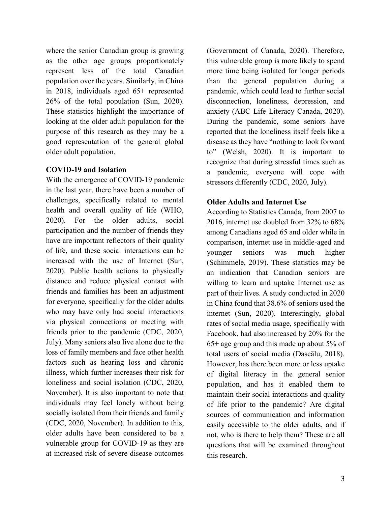where the senior Canadian group is growing as the other age groups proportionately represent less of the total Canadian population over the years. Similarly, in China in 2018, individuals aged 65+ represented 26% of the total population (Sun, 2020). These statistics highlight the importance of looking at the older adult population for the purpose of this research as they may be a good representation of the general global older adult population.

### **COVID-19 and Isolation**

With the emergence of COVID-19 pandemic in the last year, there have been a number of challenges, specifically related to mental health and overall quality of life (WHO, 2020). For the older adults, social participation and the number of friends they have are important reflectors of their quality of life, and these social interactions can be increased with the use of Internet (Sun, 2020). Public health actions to physically distance and reduce physical contact with friends and families has been an adjustment for everyone, specifically for the older adults who may have only had social interactions via physical connections or meeting with friends prior to the pandemic (CDC, 2020, July). Many seniors also live alone due to the loss of family members and face other health factors such as hearing loss and chronic illness, which further increases their risk for loneliness and social isolation (CDC, 2020, November). It is also important to note that individuals may feel lonely without being socially isolated from their friends and family (CDC, 2020, November). In addition to this, older adults have been considered to be a vulnerable group for COVID-19 as they are at increased risk of severe disease outcomes

(Government of Canada, 2020). Therefore, this vulnerable group is more likely to spend more time being isolated for longer periods than the general population during a pandemic, which could lead to further social disconnection, loneliness, depression, and anxiety (ABC Life Literacy Canada, 2020). During the pandemic, some seniors have reported that the loneliness itself feels like a disease as they have "nothing to look forward to" (Welsh, 2020). It is important to recognize that during stressful times such as a pandemic, everyone will cope with stressors differently (CDC, 2020, July).

### **Older Adults and Internet Use**

According to Statistics Canada, from 2007 to 2016, internet use doubled from 32% to 68% among Canadians aged 65 and older while in comparison, internet use in middle-aged and younger seniors was much higher (Schimmele, 2019). These statistics may be an indication that Canadian seniors are willing to learn and uptake Internet use as part of their lives. A study conducted in 2020 in China found that 38.6% of seniors used the internet (Sun, 2020). Interestingly, global rates of social media usage, specifically with Facebook, had also increased by 20% for the 65+ age group and this made up about 5% of total users of social media (Dascălu, 2018). However, has there been more or less uptake of digital literacy in the general senior population, and has it enabled them to maintain their social interactions and quality of life prior to the pandemic? Are digital sources of communication and information easily accessible to the older adults, and if not, who is there to help them? These are all questions that will be examined throughout this research.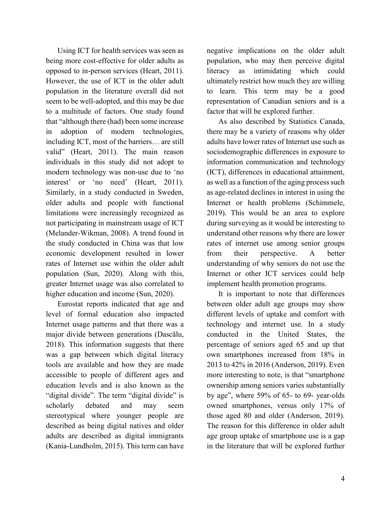Using ICT for health services was seen as being more cost-effective for older adults as opposed to in-person services (Heart, 2011). However, the use of ICT in the older adult population in the literature overall did not seem to be well-adopted, and this may be due to a multitude of factors. One study found that "although there (had) been some increase in adoption of modern technologies, including ICT, most of the barriers… are still valid" (Heart, 2011). The main reason individuals in this study did not adopt to modern technology was non-use due to 'no interest' or 'no need' (Heart, 2011). Similarly, in a study conducted in Sweden, older adults and people with functional limitations were increasingly recognized as not participating in mainstream usage of ICT (Melander-Wikman, 2008). A trend found in the study conducted in China was that low economic development resulted in lower rates of Internet use within the older adult population (Sun, 2020). Along with this, greater Internet usage was also correlated to higher education and income (Sun, 2020).

Eurostat reports indicated that age and level of formal education also impacted Internet usage patterns and that there was a major divide between generations (Dascălu, 2018). This information suggests that there was a gap between which digital literacy tools are available and how they are made accessible to people of different ages and education levels and is also known as the "digital divide". The term "digital divide" is scholarly debated and may seem stereotypical where younger people are described as being digital natives and older adults are described as digital immigrants (Kania-Lundholm, 2015). This term can have negative implications on the older adult population, who may then perceive digital literacy as intimidating which could ultimately restrict how much they are willing to learn. This term may be a good representation of Canadian seniors and is a factor that will be explored further.

As also described by Statistics Canada, there may be a variety of reasons why older adults have lower rates of Internet use such as sociodemographic differences in exposure to information communication and technology (ICT), differences in educational attainment, as well as a function of the aging process such as age-related declines in interest in using the Internet or health problems (Schimmele, 2019). This would be an area to explore during surveying as it would be interesting to understand other reasons why there are lower rates of internet use among senior groups from their perspective. A better understanding of why seniors do not use the Internet or other ICT services could help implement health promotion programs.

It is important to note that differences between older adult age groups may show different levels of uptake and comfort with technology and internet use. In a study conducted in the United States, the percentage of seniors aged 65 and up that own smartphones increased from 18% in 2013 to 42% in 2016 (Anderson, 2019). Even more interesting to note, is that "smartphone ownership among seniors varies substantially by age", where 59% of 65- to 69- year-olds owned smartphones, versus only 17% of those aged 80 and older (Anderson, 2019). The reason for this difference in older adult age group uptake of smartphone use is a gap in the literature that will be explored further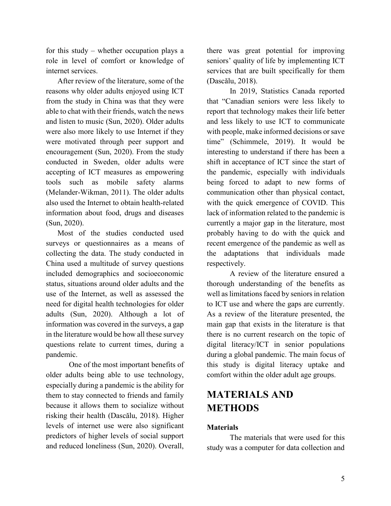for this study – whether occupation plays a role in level of comfort or knowledge of internet services.

After review of the literature, some of the reasons why older adults enjoyed using ICT from the study in China was that they were able to chat with their friends, watch the news and listen to music (Sun, 2020). Older adults were also more likely to use Internet if they were motivated through peer support and encouragement (Sun, 2020). From the study conducted in Sweden, older adults were accepting of ICT measures as empowering tools such as mobile safety alarms (Melander-Wikman, 2011). The older adults also used the Internet to obtain health-related information about food, drugs and diseases (Sun, 2020).

Most of the studies conducted used surveys or questionnaires as a means of collecting the data. The study conducted in China used a multitude of survey questions included demographics and socioeconomic status, situations around older adults and the use of the Internet, as well as assessed the need for digital health technologies for older adults (Sun, 2020). Although a lot of information was covered in the surveys, a gap in the literature would be how all these survey questions relate to current times, during a pandemic.

One of the most important benefits of older adults being able to use technology, especially during a pandemic is the ability for them to stay connected to friends and family because it allows them to socialize without risking their health (Dascălu, 2018). Higher levels of internet use were also significant predictors of higher levels of social support and reduced loneliness (Sun, 2020). Overall,

there was great potential for improving seniors' quality of life by implementing ICT services that are built specifically for them (Dascălu, 2018).

In 2019, Statistics Canada reported that "Canadian seniors were less likely to report that technology makes their life better and less likely to use ICT to communicate with people, make informed decisions or save time" (Schimmele, 2019). It would be interesting to understand if there has been a shift in acceptance of ICT since the start of the pandemic, especially with individuals being forced to adapt to new forms of communication other than physical contact, with the quick emergence of COVID. This lack of information related to the pandemic is currently a major gap in the literature, most probably having to do with the quick and recent emergence of the pandemic as well as the adaptations that individuals made respectively.

A review of the literature ensured a thorough understanding of the benefits as well as limitations faced by seniors in relation to ICT use and where the gaps are currently. As a review of the literature presented, the main gap that exists in the literature is that there is no current research on the topic of digital literacy/ICT in senior populations during a global pandemic. The main focus of this study is digital literacy uptake and comfort within the older adult age groups.

## **MATERIALS AND METHODS**

### **Materials**

The materials that were used for this study was a computer for data collection and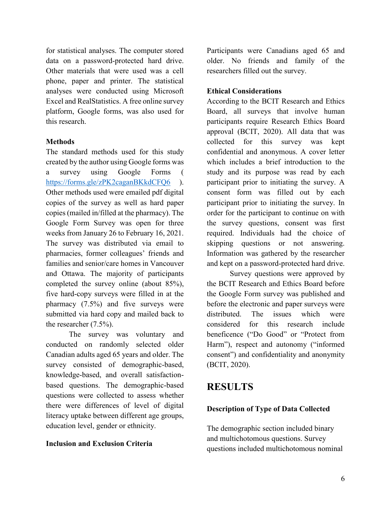for statistical analyses. The computer stored data on a password-protected hard drive. Other materials that were used was a cell phone, paper and printer. The statistical analyses were conducted using Microsoft Excel and RealStatistics. A free online survey platform, Google forms, was also used for this research.

### **Methods**

The standard methods used for this study created by the author using Google forms was a survey using Google Forms ( <https://forms.gle/zPK2caganBKkdCFQ6> ). Other methods used were emailed pdf digital copies of the survey as well as hard paper copies (mailed in/filled at the pharmacy). The Google Form Survey was open for three weeks from January 26 to February 16, 2021. The survey was distributed via email to pharmacies, former colleagues' friends and families and senior/care homes in Vancouver and Ottawa. The majority of participants completed the survey online (about 85%), five hard-copy surveys were filled in at the pharmacy (7.5%) and five surveys were submitted via hard copy and mailed back to the researcher (7.5%).

The survey was voluntary and conducted on randomly selected older Canadian adults aged 65 years and older. The survey consisted of demographic-based, knowledge-based, and overall satisfactionbased questions. The demographic-based questions were collected to assess whether there were differences of level of digital literacy uptake between different age groups, education level, gender or ethnicity.

### **Inclusion and Exclusion Criteria**

Participants were Canadians aged 65 and older. No friends and family of the researchers filled out the survey.

### **Ethical Considerations**

According to the BCIT Research and Ethics Board, all surveys that involve human participants require Research Ethics Board approval (BCIT, 2020). All data that was collected for this survey was kept confidential and anonymous. A cover letter which includes a brief introduction to the study and its purpose was read by each participant prior to initiating the survey. A consent form was filled out by each participant prior to initiating the survey. In order for the participant to continue on with the survey questions, consent was first required. Individuals had the choice of skipping questions or not answering. Information was gathered by the researcher and kept on a password-protected hard drive.

Survey questions were approved by the BCIT Research and Ethics Board before the Google Form survey was published and before the electronic and paper surveys were distributed. The issues which were considered for this research include beneficence ("Do Good" or "Protect from Harm"), respect and autonomy ("informed consent") and confidentiality and anonymity (BCIT, 2020).

## **RESULTS**

### **Description of Type of Data Collected**

The demographic section included binary and multichotomous questions. Survey questions included multichotomous nominal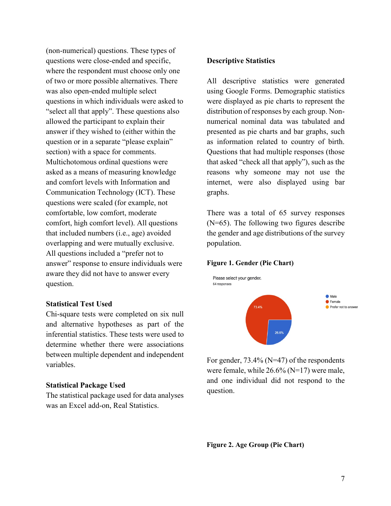(non-numerical) questions. These types of questions were close-ended and specific, where the respondent must choose only one of two or more possible alternatives. There was also open-ended multiple select questions in which individuals were asked to "select all that apply". These questions also allowed the participant to explain their answer if they wished to (either within the question or in a separate "please explain" section) with a space for comments. Multichotomous ordinal questions were asked as a means of measuring knowledge and comfort levels with Information and Communication Technology (ICT). These questions were scaled (for example, not comfortable, low comfort, moderate comfort, high comfort level). All questions that included numbers (i.e., age) avoided overlapping and were mutually exclusive. All questions included a "prefer not to answer" response to ensure individuals were aware they did not have to answer every question.

#### **Statistical Test Used**

Chi-square tests were completed on six null and alternative hypotheses as part of the inferential statistics. These tests were used to determine whether there were associations between multiple dependent and independent variables.

#### **Statistical Package Used**

The statistical package used for data analyses was an Excel add-on, Real Statistics.

#### **Descriptive Statistics**

All descriptive statistics were generated using Google Forms. Demographic statistics were displayed as pie charts to represent the distribution of responses by each group. Nonnumerical nominal data was tabulated and presented as pie charts and bar graphs, such as information related to country of birth. Questions that had multiple responses (those that asked "check all that apply"), such as the reasons why someone may not use the internet, were also displayed using bar graphs.

There was a total of 65 survey responses (N=65). The following two figures describe the gender and age distributions of the survey population.

#### **Figure 1. Gender (Pie Chart)**



For gender, 73.4% (N=47) of the respondents were female, while 26.6% (N=17) were male, and one individual did not respond to the question.

**Figure 2. Age Group (Pie Chart)**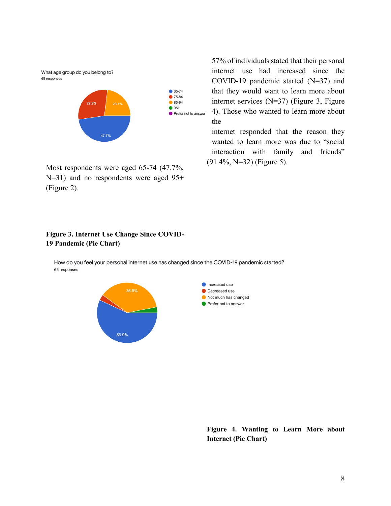What age group do you belong to? 65 responses



Most respondents were aged 65-74 (47.7%, N=31) and no respondents were aged 95+ (Figure 2).

57% of individuals stated that their personal internet use had increased since the COVID-19 pandemic started (N=37) and that they would want to learn more about internet services (N=37) (Figure 3, Figure 4). Those who wanted to learn more about the

internet responded that the reason they wanted to learn more was due to "social interaction with family and friends" (91.4%, N=32) (Figure 5).

#### **Figure 3. Internet Use Change Since COVID-19 Pandemic (Pie Chart)**

How do you feel your personal internet use has changed since the COVID-19 pandemic started? 65 responses



**Figure 4. Wanting to Learn More about Internet (Pie Chart)**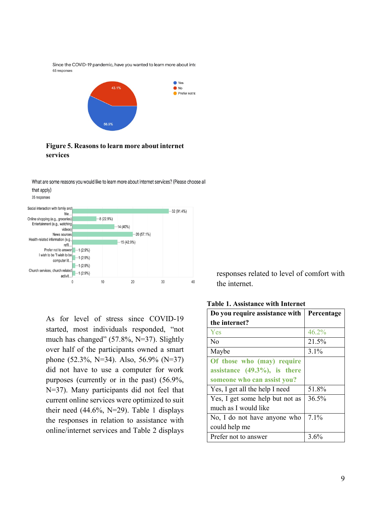Since the COVID-19 pandemic, have you wanted to learn more about inte 65 responses



### **Figure 5. Reasons to learn more about internet services**

What are some reasons you would like to learn more about internet services? (Please choose all that apply)

35 responses



As for level of stress since COVID-19 started, most individuals responded, "not much has changed" (57.8%, N=37). Slightly over half of the participants owned a smart phone (52.3%, N=34). Also, 56.9% (N=37) did not have to use a computer for work purposes (currently or in the past) (56.9%, N=37). Many participants did not feel that current online services were optimized to suit their need (44.6%, N=29). Table 1 displays the responses in relation to assistance with online/internet services and Table 2 displays

responses related to level of comfort with the internet.

**Table 1. Assistance with Internet**

| Do you require assistance with   | Percentage |
|----------------------------------|------------|
| the internet?                    |            |
| Yes                              | $46.2\%$   |
| No                               | 21.5%      |
| Maybe                            | $3.1\%$    |
| Of those who (may) require       |            |
| assistance $(49.3\%)$ , is there |            |
| someone who can assist you?      |            |
| Yes, I get all the help I need   | 51.8%      |
| Yes, I get some help but not as  | 36.5%      |
| much as I would like             |            |
| No, I do not have anyone who     | 7.1%       |
| could help me                    |            |
| Prefer not to answer             | 3.6%       |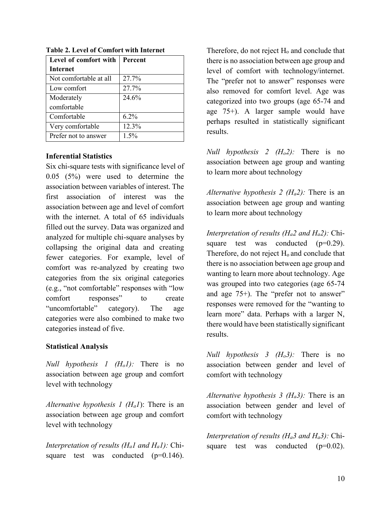| Level of comfort with  | Percent |
|------------------------|---------|
| <b>Internet</b>        |         |
| Not comfortable at all | 27.7%   |
| Low comfort            | 27.7%   |
| Moderately             | 24.6%   |
| comfortable            |         |
| Comfortable            | $6.2\%$ |
| Very comfortable       | 12.3%   |
| Prefer not to answer   | 1.5%    |

**Table 2. Level of Comfort with Internet**

### **Inferential Statistics**

Six chi-square tests with significance level of 0.05 (5%) were used to determine the association between variables of interest. The first association of interest was the association between age and level of comfort with the internet. A total of 65 individuals filled out the survey. Data was organized and analyzed for multiple chi-square analyses by collapsing the original data and creating fewer categories. For example, level of comfort was re-analyzed by creating two categories from the six original categories (e.g., "not comfortable" responses with "low comfort responses" to create "uncomfortable" category). The age categories were also combined to make two categories instead of five.

### **Statistical Analysis**

*Null hypothesis 1 (Ho1):* There is no association between age group and comfort level with technology

*Alternative hypothesis 1 (Ha1*): There is an association between age group and comfort level with technology

*Interpretation of results (Ha1 and Ha1):* Chisquare test was conducted  $(p=0.146)$ .

Therefore, do not reject  $H_0$  and conclude that there is no association between age group and level of comfort with technology/internet. The "prefer not to answer" responses were also removed for comfort level. Age was categorized into two groups (age 65-74 and age 75+). A larger sample would have perhaps resulted in statistically significant results.

*Null hypothesis 2 (Ho2):* There is no association between age group and wanting to learn more about technology

*Alternative hypothesis 2 (Ha2):* There is an association between age group and wanting to learn more about technology

*Interpretation of results (Ha2 and Ha2):* Chisquare test was conducted  $(p=0.29)$ . Therefore, do not reject H<sub>o</sub> and conclude that there is no association between age group and wanting to learn more about technology. Age was grouped into two categories (age 65-74 and age 75+). The "prefer not to answer" responses were removed for the "wanting to learn more" data. Perhaps with a larger N, there would have been statistically significant results.

*Null hypothesis 3 (Ho3):* There is no association between gender and level of comfort with technology

*Alternative hypothesis 3 (Ha3):* There is an association between gender and level of comfort with technology

*Interpretation of results (Ha3 and Ha3):* Chisquare test was conducted  $(p=0.02)$ .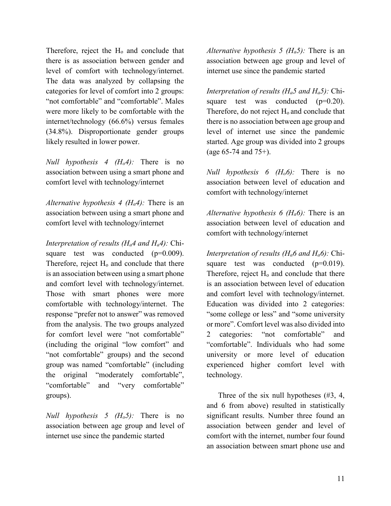Therefore, reject the  $H_0$  and conclude that there is as association between gender and level of comfort with technology/internet. The data was analyzed by collapsing the categories for level of comfort into 2 groups: "not comfortable" and "comfortable". Males were more likely to be comfortable with the internet/technology (66.6%) versus females (34.8%). Disproportionate gender groups likely resulted in lower power.

*Null hypothesis 4 (Ho4):* There is no association between using a smart phone and comfort level with technology/internet

*Alternative hypothesis 4 (Ha4):* There is an association between using a smart phone and comfort level with technology/internet

*Interpretation of results (Ha4 and Ha4):* Chisquare test was conducted  $(p=0.009)$ . Therefore, reject H<sub>o</sub> and conclude that there is an association between using a smart phone and comfort level with technology/internet. Those with smart phones were more comfortable with technology/internet. The response "prefer not to answer" was removed from the analysis. The two groups analyzed for comfort level were "not comfortable" (including the original "low comfort" and "not comfortable" groups) and the second group was named "comfortable" (including the original "moderately comfortable", "comfortable" and "very comfortable" groups).

*Null hypothesis 5 (Ho5):* There is no association between age group and level of internet use since the pandemic started

*Alternative hypothesis 5 (Ha5):* There is an association between age group and level of internet use since the pandemic started

*Interpretation of results (Ha5 and Ha5):* Chisquare test was conducted  $(p=0.20)$ . Therefore, do not reject H<sub>o</sub> and conclude that there is no association between age group and level of internet use since the pandemic started. Age group was divided into 2 groups (age 65-74 and 75+).

*Null hypothesis 6 (Ho6):* There is no association between level of education and comfort with technology/internet

*Alternative hypothesis 6 (Ha6):* There is an association between level of education and comfort with technology/internet

*Interpretation of results (Ha6 and Ha6):* Chisquare test was conducted  $(p=0.019)$ . Therefore, reject  $H_0$  and conclude that there is an association between level of education and comfort level with technology/internet. Education was divided into 2 categories: "some college or less" and "some university or more". Comfort level was also divided into 2 categories: "not comfortable" and "comfortable". Individuals who had some university or more level of education experienced higher comfort level with technology.

Three of the six null hypotheses (#3, 4, and 6 from above) resulted in statistically significant results. Number three found an association between gender and level of comfort with the internet, number four found an association between smart phone use and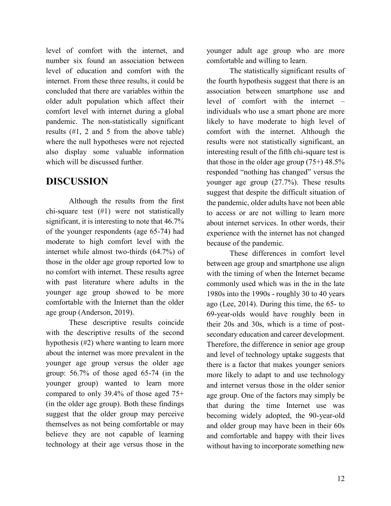level of comfort with the internet, and number six found an association between level of education and comfort with the internet. From these three results, it could be concluded that there are variables within the older adult population which affect their comfort level with internet during a global pandemic. The non-statistically significant results (#1, 2 and 5 from the above table) where the null hypotheses were not rejected also display some valuable information which will be discussed further.

## **DISCUSSION**

Although the results from the first chi-square test (#1) were not statistically significant, it is interesting to note that 46.7% of the younger respondents (age 65-74) had moderate to high comfort level with the internet while almost two-thirds (64.7%) of those in the older age group reported low to no comfort with internet. These results agree with past literature where adults in the younger age group showed to be more comfortable with the Internet than the older age group (Anderson, 2019).

These descriptive results coincide with the descriptive results of the second hypothesis (#2) where wanting to learn more about the internet was more prevalent in the younger age group versus the older age group: 56.7% of those aged 65-74 (in the younger group) wanted to learn more compared to only 39.4% of those aged 75+ (in the older age group). Both these findings suggest that the older group may perceive themselves as not being comfortable or may believe they are not capable of learning technology at their age versus those in the

younger adult age group who are more comfortable and willing to learn.

The statistically significant results of the fourth hypothesis suggest that there is an association between smartphone use and level of comfort with the internet – individuals who use a smart phone are more likely to have moderate to high level of comfort with the internet. Although the results were not statistically significant, an interesting result of the fifth chi-square test is that those in the older age group  $(75+)$  48.5% responded "nothing has changed" versus the younger age group (27.7%). These results suggest that despite the difficult situation of the pandemic, older adults have not been able to access or are not willing to learn more about internet services. In other words, their experience with the internet has not changed because of the pandemic.

These differences in comfort level between age group and smartphone use align with the timing of when the Internet became commonly used which was in the in the late 1980s into the 1990s - roughly 30 to 40 years ago (Lee, 2014). During this time, the 65- to 69-year-olds would have roughly been in their 20s and 30s, which is a time of postsecondary education and career development. Therefore, the difference in senior age group and level of technology uptake suggests that there is a factor that makes younger seniors more likely to adapt to and use technology and internet versus those in the older senior age group. One of the factors may simply be that during the time Internet use was becoming widely adopted, the 90-year-old and older group may have been in their 60s and comfortable and happy with their lives without having to incorporate something new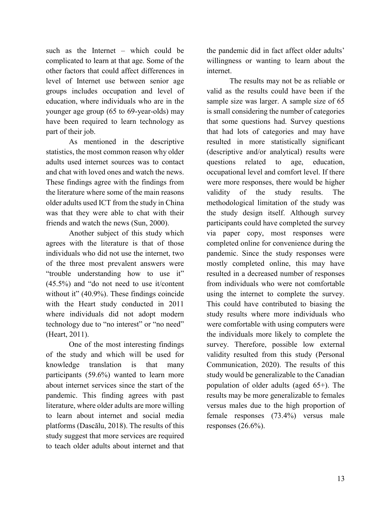such as the Internet – which could be complicated to learn at that age. Some of the other factors that could affect differences in level of Internet use between senior age groups includes occupation and level of education, where individuals who are in the younger age group (65 to 69-year-olds) may have been required to learn technology as part of their job.

As mentioned in the descriptive statistics, the most common reason why older adults used internet sources was to contact and chat with loved ones and watch the news. These findings agree with the findings from the literature where some of the main reasons older adults used ICT from the study in China was that they were able to chat with their friends and watch the news (Sun, 2000).

Another subject of this study which agrees with the literature is that of those individuals who did not use the internet, two of the three most prevalent answers were "trouble understanding how to use it" (45.5%) and "do not need to use it/content without it" (40.9%). These findings coincide with the Heart study conducted in 2011 where individuals did not adopt modern technology due to "no interest" or "no need" (Heart, 2011).

One of the most interesting findings of the study and which will be used for knowledge translation is that many participants (59.6%) wanted to learn more about internet services since the start of the pandemic. This finding agrees with past literature, where older adults are more willing to learn about internet and social media platforms (Dascălu, 2018). The results of this study suggest that more services are required to teach older adults about internet and that

the pandemic did in fact affect older adults' willingness or wanting to learn about the internet.

The results may not be as reliable or valid as the results could have been if the sample size was larger. A sample size of 65 is small considering the number of categories that some questions had. Survey questions that had lots of categories and may have resulted in more statistically significant (descriptive and/or analytical) results were questions related to age, education, occupational level and comfort level. If there were more responses, there would be higher validity of the study results. The methodological limitation of the study was the study design itself. Although survey participants could have completed the survey via paper copy, most responses were completed online for convenience during the pandemic. Since the study responses were mostly completed online, this may have resulted in a decreased number of responses from individuals who were not comfortable using the internet to complete the survey. This could have contributed to biasing the study results where more individuals who were comfortable with using computers were the individuals more likely to complete the survey. Therefore, possible low external validity resulted from this study (Personal Communication, 2020). The results of this study would be generalizable to the Canadian population of older adults (aged 65+). The results may be more generalizable to females versus males due to the high proportion of female responses (73.4%) versus male responses  $(26.6\%)$ .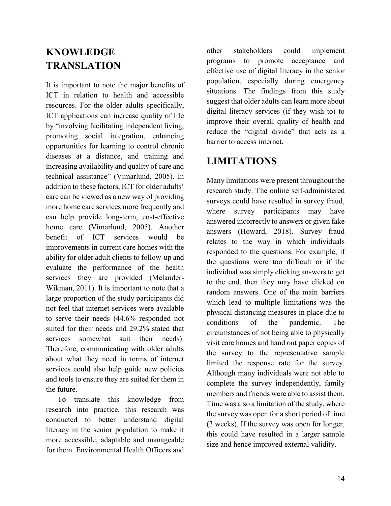## **KNOWLEDGE TRANSLATION**

It is important to note the major benefits of ICT in relation to health and accessible resources. For the older adults specifically, ICT applications can increase quality of life by "involving facilitating independent living, promoting social integration, enhancing opportunities for learning to control chronic diseases at a distance, and training and increasing availability and quality of care and technical assistance" (Vimarlund, 2005). In addition to these factors, ICT for older adults' care can be viewed as a new way of providing more home care services more frequently and can help provide long-term, cost-effective home care (Vimarlund, 2005). Another benefit of ICT services would be improvements in current care homes with the ability for older adult clients to follow-up and evaluate the performance of the health services they are provided (Melander-Wikman, 2011). It is important to note that a large proportion of the study participants did not feel that internet services were available to serve their needs (44.6% responded not suited for their needs and 29.2% stated that services somewhat suit their needs). Therefore, communicating with older adults about what they need in terms of internet services could also help guide new policies and tools to ensure they are suited for them in the future.

To translate this knowledge from research into practice, this research was conducted to better understand digital literacy in the senior population to make it more accessible, adaptable and manageable for them. Environmental Health Officers and

other stakeholders could implement programs to promote acceptance and effective use of digital literacy in the senior population, especially during emergency situations. The findings from this study suggest that older adults can learn more about digital literacy services (if they wish to) to improve their overall quality of health and reduce the "digital divide" that acts as a barrier to access internet.

## **LIMITATIONS**

Many limitations were present throughout the research study. The online self-administered surveys could have resulted in survey fraud, where survey participants may have answered incorrectly to answers or given fake answers (Howard, 2018). Survey fraud relates to the way in which individuals responded to the questions. For example, if the questions were too difficult or if the individual was simply clicking answers to get to the end, then they may have clicked on random answers. One of the main barriers which lead to multiple limitations was the physical distancing measures in place due to conditions of the pandemic. The circumstances of not being able to physically visit care homes and hand out paper copies of the survey to the representative sample limited the response rate for the survey. Although many individuals were not able to complete the survey independently, family members and friends were able to assist them. Time was also a limitation of the study, where the survey was open for a short period of time (3 weeks). If the survey was open for longer, this could have resulted in a larger sample size and hence improved external validity.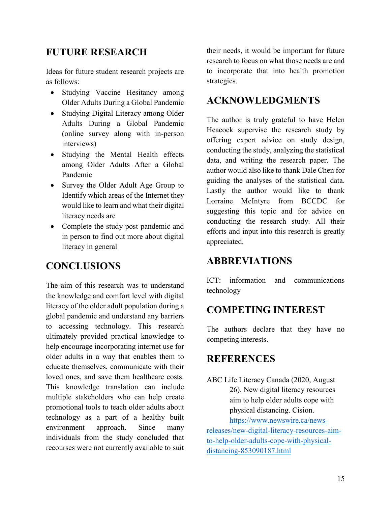## **FUTURE RESEARCH**

Ideas for future student research projects are as follows:

- Studying Vaccine Hesitancy among Older Adults During a Global Pandemic
- Studying Digital Literacy among Older Adults During a Global Pandemic (online survey along with in-person interviews)
- Studying the Mental Health effects among Older Adults After a Global Pandemic
- Survey the Older Adult Age Group to Identify which areas of the Internet they would like to learn and what their digital literacy needs are
- Complete the study post pandemic and in person to find out more about digital literacy in general

## **CONCLUSIONS**

The aim of this research was to understand the knowledge and comfort level with digital literacy of the older adult population during a global pandemic and understand any barriers to accessing technology. This research ultimately provided practical knowledge to help encourage incorporating internet use for older adults in a way that enables them to educate themselves, communicate with their loved ones, and save them healthcare costs. This knowledge translation can include multiple stakeholders who can help create promotional tools to teach older adults about technology as a part of a healthy built environment approach. Since many individuals from the study concluded that recourses were not currently available to suit

their needs, it would be important for future research to focus on what those needs are and to incorporate that into health promotion strategies.

### **ACKNOWLEDGMENTS**

The author is truly grateful to have Helen Heacock supervise the research study by offering expert advice on study design, conducting the study, analyzing the statistical data, and writing the research paper. The author would also like to thank Dale Chen for guiding the analyses of the statistical data. Lastly the author would like to thank Lorraine McIntyre from BCCDC for suggesting this topic and for advice on conducting the research study. All their efforts and input into this research is greatly appreciated.

## **ABBREVIATIONS**

ICT: information and communications technology

## **COMPETING INTEREST**

The authors declare that they have no competing interests.

### **REFERENCES**

ABC Life Literacy Canada (2020, August 26). New digital literacy resources aim to help older adults cope with physical distancing. Cision. [https://www.newswire.ca/news-](https://www.newswire.ca/news-releases/new-digital-literacy-resources-aim-to-help-older-adults-cope-with-physical-distancing-853090187.html)

[releases/new-digital-literacy-resources-aim](https://www.newswire.ca/news-releases/new-digital-literacy-resources-aim-to-help-older-adults-cope-with-physical-distancing-853090187.html)[to-help-older-adults-cope-with-physical](https://www.newswire.ca/news-releases/new-digital-literacy-resources-aim-to-help-older-adults-cope-with-physical-distancing-853090187.html)[distancing-853090187.html](https://www.newswire.ca/news-releases/new-digital-literacy-resources-aim-to-help-older-adults-cope-with-physical-distancing-853090187.html)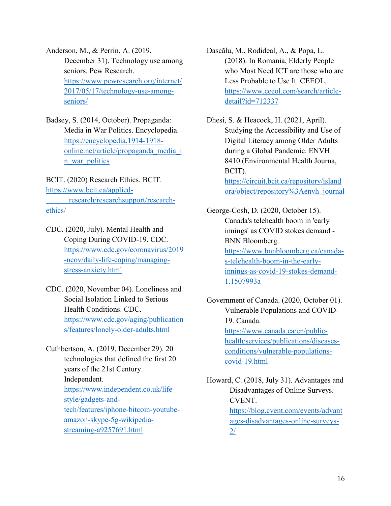Anderson, M., & Perrin, A. (2019, December 31). Technology use among seniors. Pew Research. [https://www.pewresearch.org/internet/](https://www.pewresearch.org/internet/2017/05/17/technology-use-among-seniors/) [2017/05/17/technology-use-among](https://www.pewresearch.org/internet/2017/05/17/technology-use-among-seniors/)[seniors/](https://www.pewresearch.org/internet/2017/05/17/technology-use-among-seniors/)

Badsey, S. (2014, October). Propaganda: Media in War Politics. Encyclopedia. [https://encyclopedia.1914-1918](https://encyclopedia.1914-1918-online.net/article/propaganda_media_in_war_politics) [online.net/article/propaganda\\_media\\_i](https://encyclopedia.1914-1918-online.net/article/propaganda_media_in_war_politics) [n\\_war\\_politics](https://encyclopedia.1914-1918-online.net/article/propaganda_media_in_war_politics)

BCIT. (2020) Research Ethics. BCIT. [https://www.bcit.ca/applied](https://www.bcit.ca/applied-%09research/researchsupport/research-ethics/)[research/researchsupport/research](https://www.bcit.ca/applied-%09research/researchsupport/research-ethics/)[ethics/](https://www.bcit.ca/applied-%09research/researchsupport/research-ethics/)

CDC. (2020, July). Mental Health and Coping During COVID-19. CDC. [https://www.cdc.gov/coronavirus/2019](https://www.cdc.gov/coronavirus/2019-ncov/daily-life-coping/managing-stress-anxiety.html) [-ncov/daily-life-coping/managing](https://www.cdc.gov/coronavirus/2019-ncov/daily-life-coping/managing-stress-anxiety.html)[stress-anxiety.html](https://www.cdc.gov/coronavirus/2019-ncov/daily-life-coping/managing-stress-anxiety.html)

CDC. (2020, November 04). Loneliness and Social Isolation Linked to Serious Health Conditions. CDC. [https://www.cdc.gov/aging/publication](https://www.cdc.gov/aging/publications/features/lonely-older-adults.html) [s/features/lonely-older-adults.html](https://www.cdc.gov/aging/publications/features/lonely-older-adults.html)

Cuthbertson, A. (2019, December 29). 20 technologies that defined the first 20 years of the 21st Century. Independent. [https://www.independent.co.uk/life](https://www.independent.co.uk/life-style/gadgets-and-tech/features/iphone-bitcoin-youtube-amazon-skype-5g-wikipedia-streaming-a9257691.html)[style/gadgets-and](https://www.independent.co.uk/life-style/gadgets-and-tech/features/iphone-bitcoin-youtube-amazon-skype-5g-wikipedia-streaming-a9257691.html)[tech/features/iphone-bitcoin-youtube](https://www.independent.co.uk/life-style/gadgets-and-tech/features/iphone-bitcoin-youtube-amazon-skype-5g-wikipedia-streaming-a9257691.html)[amazon-skype-5g-wikipedia](https://www.independent.co.uk/life-style/gadgets-and-tech/features/iphone-bitcoin-youtube-amazon-skype-5g-wikipedia-streaming-a9257691.html)[streaming-a9257691.html](https://www.independent.co.uk/life-style/gadgets-and-tech/features/iphone-bitcoin-youtube-amazon-skype-5g-wikipedia-streaming-a9257691.html)

Dascălu, M., Rodideal, A., & Popa, L. (2018). In Romania, Elderly People who Most Need ICT are those who are Less Probable to Use It. CEEOL. [https://www.ceeol.com/search/article](https://www.ceeol.com/search/article-detail?id=712337)[detail?id=712337](https://www.ceeol.com/search/article-detail?id=712337)

Dhesi, S. & Heacock, H. (2021, April). Studying the Accessibility and Use of Digital Literacy among Older Adults during a Global Pandemic. ENVH 8410 (Environmental Health Journa, BCIT). [https://circuit.bcit.ca/repository/island](https://circuit.bcit.ca/repository/islandora/object/repository%3Aenvh_journal) [ora/object/repository%3Aenvh\\_journal](https://circuit.bcit.ca/repository/islandora/object/repository%3Aenvh_journal)

George-Cosh, D. (2020, October 15). Canada's telehealth boom in 'early innings' as COVID stokes demand - BNN Bloomberg. [https://www.bnnbloomberg.ca/canada](https://www.bnnbloomberg.ca/canada-s-telehealth-boom-in-the-early-innings-as-covid-19-stokes-demand-1.1507993a)[s-telehealth-boom-in-the-early](https://www.bnnbloomberg.ca/canada-s-telehealth-boom-in-the-early-innings-as-covid-19-stokes-demand-1.1507993a)[innings-as-covid-19-stokes-demand-](https://www.bnnbloomberg.ca/canada-s-telehealth-boom-in-the-early-innings-as-covid-19-stokes-demand-1.1507993a)[1.1507993a](https://www.bnnbloomberg.ca/canada-s-telehealth-boom-in-the-early-innings-as-covid-19-stokes-demand-1.1507993a)

Government of Canada. (2020, October 01). Vulnerable Populations and COVID-19. Canada. [https://www.canada.ca/en/public](https://www.canada.ca/en/public-health/services/publications/diseases-conditions/vulnerable-populations-covid-19.html)[health/services/publications/diseases](https://www.canada.ca/en/public-health/services/publications/diseases-conditions/vulnerable-populations-covid-19.html)[conditions/vulnerable-populations](https://www.canada.ca/en/public-health/services/publications/diseases-conditions/vulnerable-populations-covid-19.html)[covid-19.html](https://www.canada.ca/en/public-health/services/publications/diseases-conditions/vulnerable-populations-covid-19.html)

Howard, C. (2018, July 31). Advantages and Disadvantages of Online Surveys. CVENT. [https://blog.cvent.com/events/advant](https://blog.cvent.com/events/advantages-disadvantages-online-surveys-2/) [ages-disadvantages-online-surveys-](https://blog.cvent.com/events/advantages-disadvantages-online-surveys-2/) $2/$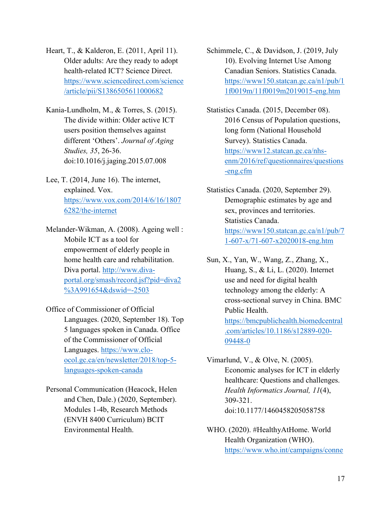Heart, T., & Kalderon, E. (2011, April 11). Older adults: Are they ready to adopt health-related ICT? Science Direct. [https://www.sciencedirect.com/science](https://www.sciencedirect.com/science/article/pii/S1386505611000682) [/article/pii/S1386505611000682](https://www.sciencedirect.com/science/article/pii/S1386505611000682)

Kania-Lundholm, M., & Torres, S. (2015). The divide within: Older active ICT users position themselves against different 'Others'. *Journal of Aging Studies, 35*, 26-36. doi:10.1016/j.jaging.2015.07.008

Lee, T. (2014, June 16). The internet, explained. Vox. [https://www.vox.com/2014/6/16/1807](https://www.vox.com/2014/6/16/18076282/the-internet) [6282/the-internet](https://www.vox.com/2014/6/16/18076282/the-internet)

Melander-Wikman, A. (2008). Ageing well : Mobile ICT as a tool for empowerment of elderly people in home health care and rehabilitation. Diva portal. [http://www.diva](http://www.diva-portal.org/smash/record.jsf?pid=diva2%3A991654&dswid=-2503)[portal.org/smash/record.jsf?pid=diva2](http://www.diva-portal.org/smash/record.jsf?pid=diva2%3A991654&dswid=-2503) [%3A991654&dswid=-2503](http://www.diva-portal.org/smash/record.jsf?pid=diva2%3A991654&dswid=-2503)

- Office of Commissioner of Official Languages. (2020, September 18). Top 5 languages spoken in Canada. Office of the Commissioner of Official Languages. [https://www.clo](https://www.clo-ocol.gc.ca/en/newsletter/2018/top-5-languages-spoken-canada)[ocol.gc.ca/en/newsletter/2018/top-5](https://www.clo-ocol.gc.ca/en/newsletter/2018/top-5-languages-spoken-canada) [languages-spoken-canada](https://www.clo-ocol.gc.ca/en/newsletter/2018/top-5-languages-spoken-canada)
- Personal Communication (Heacock, Helen and Chen, Dale.) (2020, September). Modules 1-4b, Research Methods (ENVH 8400 Curriculum) BCIT Environmental Health.

Schimmele, C., & Davidson, J. (2019, July 10). Evolving Internet Use Among Canadian Seniors. Statistics Canada. [https://www150.statcan.gc.ca/n1/pub/1](https://www150.statcan.gc.ca/n1/pub/11f0019m/11f0019m2019015-eng.htm) [1f0019m/11f0019m2019015-eng.htm](https://www150.statcan.gc.ca/n1/pub/11f0019m/11f0019m2019015-eng.htm)

Statistics Canada. (2015, December 08). 2016 Census of Population questions, long form (National Household Survey). Statistics Canada. [https://www12.statcan.gc.ca/nhs](https://www12.statcan.gc.ca/nhs-enm/2016/ref/questionnaires/questions-eng.cfm)[enm/2016/ref/questionnaires/questions](https://www12.statcan.gc.ca/nhs-enm/2016/ref/questionnaires/questions-eng.cfm) [-eng.cfm](https://www12.statcan.gc.ca/nhs-enm/2016/ref/questionnaires/questions-eng.cfm)

Statistics Canada. (2020, September 29). Demographic estimates by age and sex, provinces and territories. Statistics Canada. [https://www150.statcan.gc.ca/n1/pub/7](https://www150.statcan.gc.ca/n1/pub/71-607-x/71-607-x2020018-eng.htm) [1-607-x/71-607-x2020018-eng.htm](https://www150.statcan.gc.ca/n1/pub/71-607-x/71-607-x2020018-eng.htm)

Sun, X., Yan, W., Wang, Z., Zhang, X., Huang, S., & Li, L. (2020). Internet use and need for digital health technology among the elderly: A cross-sectional survey in China. BMC Public Health. [https://bmcpublichealth.biomedcentral](https://bmcpublichealth.biomedcentral.com/articles/10.1186/s12889-020-09448-0) [.com/articles/10.1186/s12889-020-](https://bmcpublichealth.biomedcentral.com/articles/10.1186/s12889-020-09448-0) [09448-0](https://bmcpublichealth.biomedcentral.com/articles/10.1186/s12889-020-09448-0)

Vimarlund, V., & Olve, N. (2005). Economic analyses for ICT in elderly healthcare: Questions and challenges. *Health Informatics Journal, 11*(4), 309-321. doi:10.1177/1460458205058758

WHO. (2020). #HealthyAtHome. World Health Organization (WHO). [https://www.who.int/campaigns/conne](https://www.who.int/campaigns/connecting-the-world-to-combat-coronavirus/healthyathome/healthyathome---mental-health?gclid=CjwKCAjww5r8BRB6EiwArcckC0LEiO6yMx9D5WqZ2noGb1BVqRUo22CZCGjzwsHnTDFpT4ufM8z9KBoC7r4QAvD_BwE)